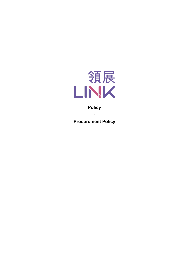

## **Policy**

**-**

**Procurement Policy**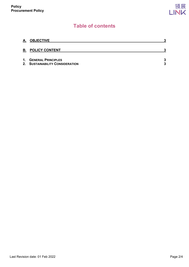# **Table of contents**

| <u>A.</u>      | <b>OBJECTIVE</b>                                             | 2      |
|----------------|--------------------------------------------------------------|--------|
|                | <b>B. POLICY CONTENT</b>                                     | 2      |
| $\mathbf{1}$ . | <b>GENERAL PRINCIPLES</b><br>2. SUSTAINABILITY CONSIDERATION | 3<br>3 |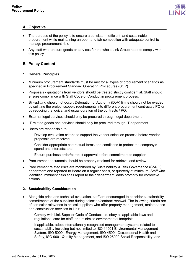

## <span id="page-2-0"></span>**A. Objective**

- The purpose of the policy is to ensure a consistent, efficient, and sustainable procurement while maintaining an open and fair competition with adequate control to manage procurement risk.
- Any staff who procure goods or services for the whole Link Group need to comply with this policy.

### <span id="page-2-1"></span>**B. Policy Content**

### <span id="page-2-2"></span>**1. General Principles**

- Minimum procurement standards must be met for all types of procurement scenarios as specified in Procurement Standard Operating Procedures (SOP).
- Proposals / quotations from vendors should be treated strictly confidential. Staff should ensure compliance with Staff Code of Conduct in procurement process.
- Bill-splitting should not occur. Delegation of Authority (DoA) limits should not be evaded by splitting the project scope's requirements into different procurement contracts / PO or by reducing the logical and usual duration of the contracts / PO.
- External legal services should only be procured through legal department.
- IT related goods and services should only be procured through IT department.
- Users are responsible to:
	- Develop evaluation criteria to support the vendor selection process before vendor proposals are received;
	- Consider appropriate contractual terms and conditions to protect the company's spend and interests; and
	- Ensure purchase order/contract approval before commitment to supplier.
- Procurement documents should be properly retained for retrieval and review.
- Procurement related risks are monitored by Sustainability & Risk Governance (S&RG) department and reported to Board on a regular basis, or quarterly at minimum. Staff who identified imminent risks shall report to their department leads promptly for corrective actions.

#### <span id="page-2-3"></span>**2. Sustainability Consideration**

- Alongside price and technical evaluation, staff are encouraged to consider sustainability commitments of the suppliers during selection/contract renewal. The following criteria are of particular relevance to critical suppliers who offer property management, maintenance and construction services to Link:
	- Comply with Link Supplier Code of Conduct, i.e. obey all applicable laws and regulations, care for staff, and minimise environmental footprint;
	- If applicable, adopt internationally recognised management systems related to sustainability including but not limited to ISO 14001 Environmental Management System, ISO 50001 Energy Management, ISO 45001 Occupational Health and Safety, ISO 9001 Quality Management, and ISO 26000 Social Responsibility; and